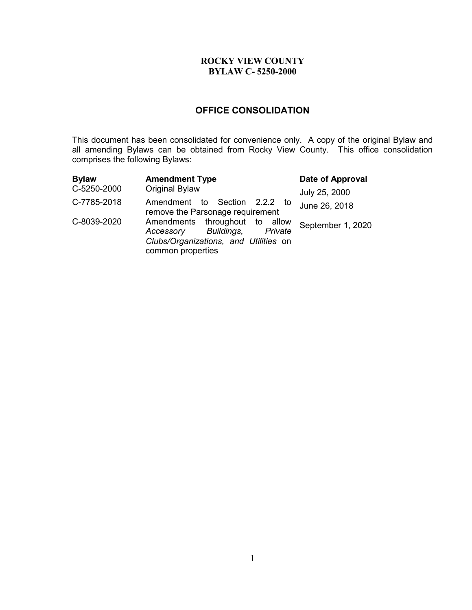# **OFFICE CONSOLIDATION**

This document has been consolidated for convenience only. A copy of the original Bylaw and all amending Bylaws can be obtained from Rocky View County. This office consolidation comprises the following Bylaws:

| <b>Bylaw</b> | <b>Amendment Type</b>                                                                                                           | Date of Approval  |
|--------------|---------------------------------------------------------------------------------------------------------------------------------|-------------------|
| C-5250-2000  | <b>Original Bylaw</b>                                                                                                           | July 25, 2000     |
| C-7785-2018  | Amendment to Section 2.2.2 to<br>remove the Parsonage requirement                                                               | June 26, 2018     |
| C-8039-2020  | Amendments throughout to allow<br>Accessory Buildings,<br>Private<br>Clubs/Organizations, and Utilities on<br>common properties | September 1, 2020 |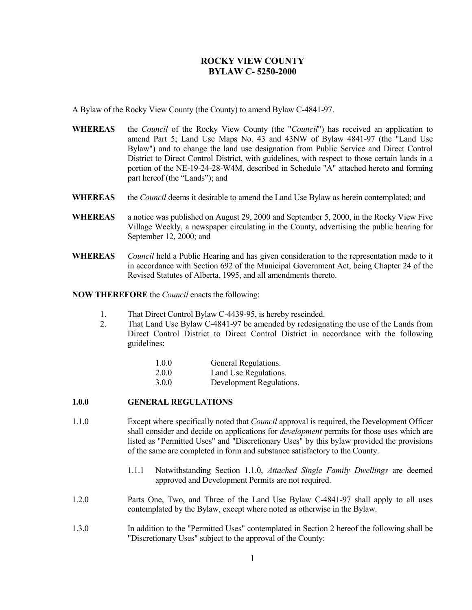A Bylaw of the Rocky View County (the County) to amend Bylaw C-4841-97.

- **WHEREAS** the *Council* of the Rocky View County (the "*Council*") has received an application to amend Part 5; Land Use Maps No. 43 and 43NW of Bylaw 4841-97 (the "Land Use Bylaw") and to change the land use designation from Public Service and Direct Control District to Direct Control District, with guidelines, with respect to those certain lands in a portion of the NE-19-24-28-W4M, described in Schedule "A" attached hereto and forming part hereof (the "Lands"); and
- **WHEREAS** the *Council* deems it desirable to amend the Land Use Bylaw as herein contemplated; and
- **WHEREAS** a notice was published on August 29, 2000 and September 5, 2000, in the Rocky View Five Village Weekly, a newspaper circulating in the County, advertising the public hearing for September 12, 2000; and
- **WHEREAS** *Council* held a Public Hearing and has given consideration to the representation made to it in accordance with Section 692 of the Municipal Government Act, being Chapter 24 of the Revised Statutes of Alberta, 1995, and all amendments thereto.

**NOW THEREFORE** the *Council* enacts the following:

- 1. That Direct Control Bylaw C-4439-95, is hereby rescinded.
- 2. That Land Use Bylaw C-4841-97 be amended by redesignating the use of the Lands from Direct Control District to Direct Control District in accordance with the following guidelines:

| 1.0.0 | General Regulations. |
|-------|----------------------|
|-------|----------------------|

- 2.0.0 Land Use Regulations.
- 3.0.0 Development Regulations.

### **1.0.0 GENERAL REGULATIONS**

- 1.1.0 Except where specifically noted that *Council* approval is required, the Development Officer shall consider and decide on applications for *development* permits for those uses which are listed as "Permitted Uses" and "Discretionary Uses" by this bylaw provided the provisions of the same are completed in form and substance satisfactory to the County.
	- 1.1.1 Notwithstanding Section 1.1.0, *Attached Single Family Dwellings* are deemed approved and Development Permits are not required.
- 1.2.0 Parts One, Two, and Three of the Land Use Bylaw C-4841-97 shall apply to all uses contemplated by the Bylaw, except where noted as otherwise in the Bylaw.
- 1.3.0 In addition to the "Permitted Uses" contemplated in Section 2 hereof the following shall be "Discretionary Uses" subject to the approval of the County: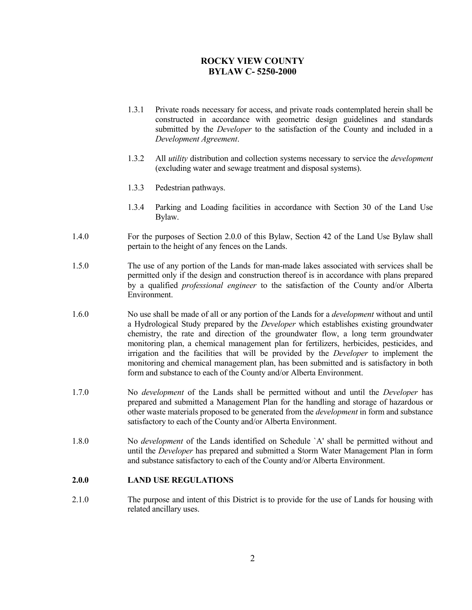- 1.3.1 Private roads necessary for access, and private roads contemplated herein shall be constructed in accordance with geometric design guidelines and standards submitted by the *Developer* to the satisfaction of the County and included in a *Development Agreement*.
- 1.3.2 All *utility* distribution and collection systems necessary to service the *development* (excluding water and sewage treatment and disposal systems).
- 1.3.3 Pedestrian pathways.
- 1.3.4 Parking and Loading facilities in accordance with Section 30 of the Land Use Bylaw.
- 1.4.0 For the purposes of Section 2.0.0 of this Bylaw, Section 42 of the Land Use Bylaw shall pertain to the height of any fences on the Lands.
- 1.5.0 The use of any portion of the Lands for man-made lakes associated with services shall be permitted only if the design and construction thereof is in accordance with plans prepared by a qualified *professional engineer* to the satisfaction of the County and/or Alberta Environment.
- 1.6.0 No use shall be made of all or any portion of the Lands for a *development* without and until a Hydrological Study prepared by the *Developer* which establishes existing groundwater chemistry, the rate and direction of the groundwater flow, a long term groundwater monitoring plan, a chemical management plan for fertilizers, herbicides, pesticides, and irrigation and the facilities that will be provided by the *Developer* to implement the monitoring and chemical management plan, has been submitted and is satisfactory in both form and substance to each of the County and/or Alberta Environment.
- 1.7.0 No *development* of the Lands shall be permitted without and until the *Developer* has prepared and submitted a Management Plan for the handling and storage of hazardous or other waste materials proposed to be generated from the *development* in form and substance satisfactory to each of the County and/or Alberta Environment.
- 1.8.0 No *development* of the Lands identified on Schedule `A' shall be permitted without and until the *Developer* has prepared and submitted a Storm Water Management Plan in form and substance satisfactory to each of the County and/or Alberta Environment.

#### **2.0.0 LAND USE REGULATIONS**

2.1.0 The purpose and intent of this District is to provide for the use of Lands for housing with related ancillary uses.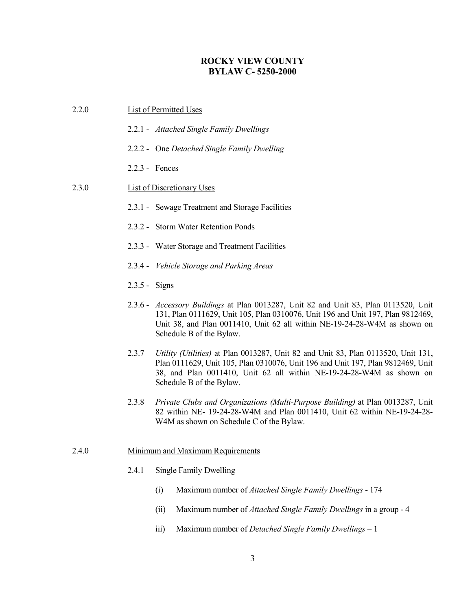| 2.2.0 | <b>List of Permitted Uses</b>                                                                                                                                                                                                                                                     |  |  |
|-------|-----------------------------------------------------------------------------------------------------------------------------------------------------------------------------------------------------------------------------------------------------------------------------------|--|--|
|       | 2.2.1 - Attached Single Family Dwellings                                                                                                                                                                                                                                          |  |  |
|       | 2.2.2 - One Detached Single Family Dwelling                                                                                                                                                                                                                                       |  |  |
|       | 2.2.3 - Fences                                                                                                                                                                                                                                                                    |  |  |
| 2.3.0 | <b>List of Discretionary Uses</b>                                                                                                                                                                                                                                                 |  |  |
|       | 2.3.1 - Sewage Treatment and Storage Facilities                                                                                                                                                                                                                                   |  |  |
|       | 2.3.2 - Storm Water Retention Ponds                                                                                                                                                                                                                                               |  |  |
|       | 2.3.3 - Water Storage and Treatment Facilities                                                                                                                                                                                                                                    |  |  |
|       | 2.3.4 - Vehicle Storage and Parking Areas                                                                                                                                                                                                                                         |  |  |
|       | $2.3.5 - Signs$                                                                                                                                                                                                                                                                   |  |  |
|       | 2.3.6 - Accessory Buildings at Plan 0013287, Unit 82 and Unit 83, Plan 0113520, Unit<br>131, Plan 0111629, Unit 105, Plan 0310076, Unit 196 and Unit 197, Plan 9812469,<br>Unit 38, and Plan 0011410, Unit 62 all within NE-19-24-28-W4M as shown on<br>Schedule B of the Bylaw.  |  |  |
|       | 2.3.7<br>Utility (Utilities) at Plan 0013287, Unit 82 and Unit 83, Plan 0113520, Unit 131,<br>Plan 0111629, Unit 105, Plan 0310076, Unit 196 and Unit 197, Plan 9812469, Unit<br>38, and Plan 0011410, Unit 62 all within NE-19-24-28-W4M as shown on<br>Schedule B of the Bylaw. |  |  |
|       | Private Clubs and Organizations (Multi-Purpose Building) at Plan 0013287, Unit<br>2.3.8<br>82 within NE- 19-24-28-W4M and Plan 0011410, Unit 62 within NE-19-24-28-<br>W4M as shown on Schedule C of the Bylaw.                                                                   |  |  |
| 2.4.0 | Minimum and Maximum Requirements                                                                                                                                                                                                                                                  |  |  |
|       | 2.4.1<br><b>Single Family Dwelling</b>                                                                                                                                                                                                                                            |  |  |
|       | Maximum number of Attached Single Family Dwellings - 174<br>(i)                                                                                                                                                                                                                   |  |  |
|       | Maximum number of Attached Single Family Dwellings in a group - 4<br>(ii)                                                                                                                                                                                                         |  |  |

iii) Maximum number of *Detached Single Family Dwellings* – 1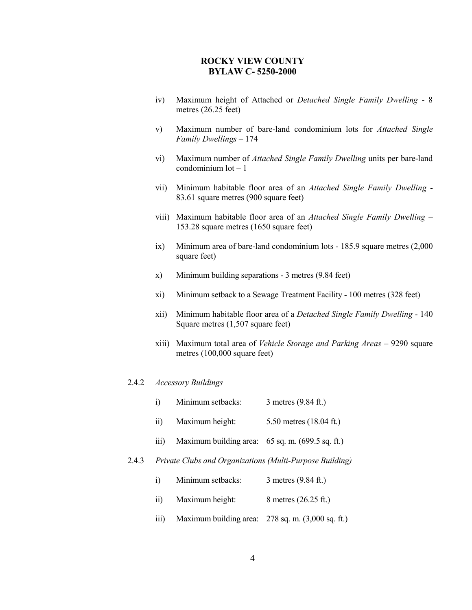- iv) Maximum height of Attached or *Detached Single Family Dwelling* 8 metres (26.25 feet)
- v) Maximum number of bare-land condominium lots for *Attached Single Family Dwellings* – 174
- vi) Maximum number of *Attached Single Family Dwelling* units per bare-land  $\alpha$ condominium  $\alpha$  – 1
- vii) Minimum habitable floor area of an *Attached Single Family Dwelling* 83.61 square metres (900 square feet)
- viii) Maximum habitable floor area of an *Attached Single Family Dwelling* 153.28 square metres (1650 square feet)
- ix) Minimum area of bare-land condominium lots 185.9 square metres (2,000 square feet)
- x) Minimum building separations 3 metres (9.84 feet)
- xi) Minimum setback to a Sewage Treatment Facility 100 metres (328 feet)
- xii) Minimum habitable floor area of a *Detached Single Family Dwelling* 140 Square metres (1,507 square feet)
- xiii) Maximum total area of *Vehicle Storage and Parking Areas* 9290 square metres (100,000 square feet)

#### 2.4.2 *Accessory Buildings*

- i) Minimum setbacks: 3 metres (9.84 ft.)
- ii) Maximum height: 5.50 metres (18.04 ft.)
- iii) Maximum building area: 65 sq. m. (699.5 sq. ft.)

#### 2.4.3 *Private Clubs and Organizations (Multi-Purpose Building)*

- i) Minimum setbacks: 3 metres (9.84 ft.)
- ii) Maximum height: 8 metres (26.25 ft.)
- iii) Maximum building area: 278 sq. m. (3,000 sq. ft.)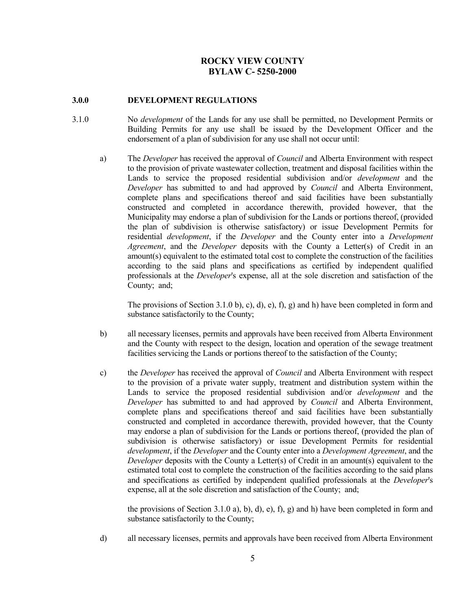#### **3.0.0 DEVELOPMENT REGULATIONS**

- 3.1.0 No *development* of the Lands for any use shall be permitted, no Development Permits or Building Permits for any use shall be issued by the Development Officer and the endorsement of a plan of subdivision for any use shall not occur until:
	- a) The *Developer* has received the approval of *Council* and Alberta Environment with respect to the provision of private wastewater collection, treatment and disposal facilities within the Lands to service the proposed residential subdivision and/or *development* and the *Developer* has submitted to and had approved by *Council* and Alberta Environment, complete plans and specifications thereof and said facilities have been substantially constructed and completed in accordance therewith, provided however, that the Municipality may endorse a plan of subdivision for the Lands or portions thereof, (provided the plan of subdivision is otherwise satisfactory) or issue Development Permits for residential *development*, if the *Developer* and the County enter into a *Development Agreement*, and the *Developer* deposits with the County a Letter(s) of Credit in an amount(s) equivalent to the estimated total cost to complete the construction of the facilities according to the said plans and specifications as certified by independent qualified professionals at the *Developer*'s expense, all at the sole discretion and satisfaction of the County; and;

The provisions of Section 3.1.0 b), c), d), e), f), g) and h) have been completed in form and substance satisfactorily to the County;

- b) all necessary licenses, permits and approvals have been received from Alberta Environment and the County with respect to the design, location and operation of the sewage treatment facilities servicing the Lands or portions thereof to the satisfaction of the County;
- c) the *Developer* has received the approval of *Council* and Alberta Environment with respect to the provision of a private water supply, treatment and distribution system within the Lands to service the proposed residential subdivision and/or *development* and the *Developer* has submitted to and had approved by *Council* and Alberta Environment, complete plans and specifications thereof and said facilities have been substantially constructed and completed in accordance therewith, provided however, that the County may endorse a plan of subdivision for the Lands or portions thereof, (provided the plan of subdivision is otherwise satisfactory) or issue Development Permits for residential *development*, if the *Developer* and the County enter into a *Development Agreement*, and the *Developer* deposits with the County a Letter(s) of Credit in an amount(s) equivalent to the estimated total cost to complete the construction of the facilities according to the said plans and specifications as certified by independent qualified professionals at the *Developer*'s expense, all at the sole discretion and satisfaction of the County; and;

the provisions of Section 3.1.0 a), b), d), e), f), g) and h) have been completed in form and substance satisfactorily to the County;

d) all necessary licenses, permits and approvals have been received from Alberta Environment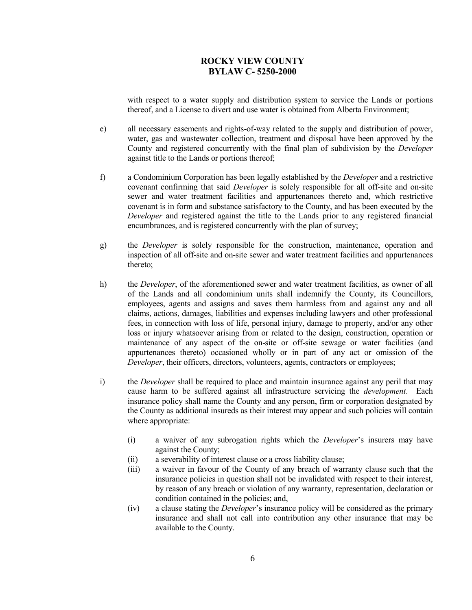with respect to a water supply and distribution system to service the Lands or portions thereof, and a License to divert and use water is obtained from Alberta Environment;

- e) all necessary easements and rights-of-way related to the supply and distribution of power, water, gas and wastewater collection, treatment and disposal have been approved by the County and registered concurrently with the final plan of subdivision by the *Developer*  against title to the Lands or portions thereof;
- f) a Condominium Corporation has been legally established by the *Developer* and a restrictive covenant confirming that said *Developer* is solely responsible for all off-site and on-site sewer and water treatment facilities and appurtenances thereto and, which restrictive covenant is in form and substance satisfactory to the County, and has been executed by the *Developer* and registered against the title to the Lands prior to any registered financial encumbrances, and is registered concurrently with the plan of survey;
- g) the *Developer* is solely responsible for the construction, maintenance, operation and inspection of all off-site and on-site sewer and water treatment facilities and appurtenances thereto;
- h) the *Developer*, of the aforementioned sewer and water treatment facilities, as owner of all of the Lands and all condominium units shall indemnify the County, its Councillors, employees, agents and assigns and saves them harmless from and against any and all claims, actions, damages, liabilities and expenses including lawyers and other professional fees, in connection with loss of life, personal injury, damage to property, and/or any other loss or injury whatsoever arising from or related to the design, construction, operation or maintenance of any aspect of the on-site or off-site sewage or water facilities (and appurtenances thereto) occasioned wholly or in part of any act or omission of the *Developer*, their officers, directors, volunteers, agents, contractors or employees;
- i) the *Developer* shall be required to place and maintain insurance against any peril that may cause harm to be suffered against all infrastructure servicing the *development*. Each insurance policy shall name the County and any person, firm or corporation designated by the County as additional insureds as their interest may appear and such policies will contain where appropriate:
	- (i) a waiver of any subrogation rights which the *Developer*'s insurers may have against the County;
	- (ii) a severability of interest clause or a cross liability clause;
	- (iii) a waiver in favour of the County of any breach of warranty clause such that the insurance policies in question shall not be invalidated with respect to their interest, by reason of any breach or violation of any warranty, representation, declaration or condition contained in the policies; and,
	- (iv) a clause stating the *Developer*'s insurance policy will be considered as the primary insurance and shall not call into contribution any other insurance that may be available to the County.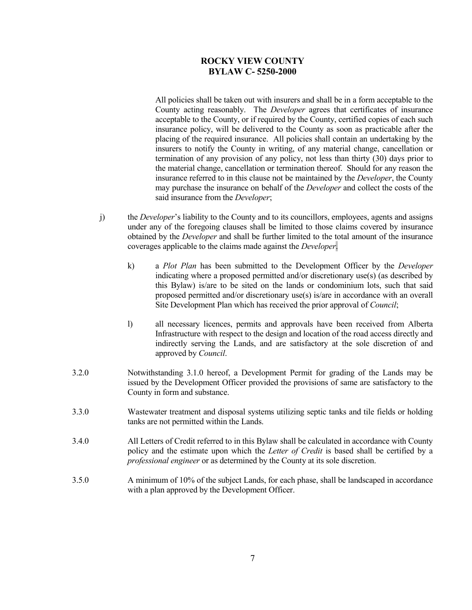All policies shall be taken out with insurers and shall be in a form acceptable to the County acting reasonably. The *Developer* agrees that certificates of insurance acceptable to the County, or if required by the County, certified copies of each such insurance policy, will be delivered to the County as soon as practicable after the placing of the required insurance. All policies shall contain an undertaking by the insurers to notify the County in writing, of any material change, cancellation or termination of any provision of any policy, not less than thirty (30) days prior to the material change, cancellation or termination thereof. Should for any reason the insurance referred to in this clause not be maintained by the *Developer*, the County may purchase the insurance on behalf of the *Developer* and collect the costs of the said insurance from the *Developer*;

- j) the *Developer*'s liability to the County and to its councillors, employees, agents and assigns under any of the foregoing clauses shall be limited to those claims covered by insurance obtained by the *Developer* and shall be further limited to the total amount of the insurance coverages applicable to the claims made against the *Developer*.
	- k) a *Plot Plan* has been submitted to the Development Officer by the *Developer* indicating where a proposed permitted and/or discretionary use(s) (as described by this Bylaw) is/are to be sited on the lands or condominium lots, such that said proposed permitted and/or discretionary use(s) is/are in accordance with an overall Site Development Plan which has received the prior approval of *Council*;
	- l) all necessary licences, permits and approvals have been received from Alberta Infrastructure with respect to the design and location of the road access directly and indirectly serving the Lands, and are satisfactory at the sole discretion of and approved by *Council*.
- 3.2.0 Notwithstanding 3.1.0 hereof, a Development Permit for grading of the Lands may be issued by the Development Officer provided the provisions of same are satisfactory to the County in form and substance.
- 3.3.0 Wastewater treatment and disposal systems utilizing septic tanks and tile fields or holding tanks are not permitted within the Lands.
- 3.4.0 All Letters of Credit referred to in this Bylaw shall be calculated in accordance with County policy and the estimate upon which the *Letter of Credit* is based shall be certified by a *professional engineer* or as determined by the County at its sole discretion.
- 3.5.0 A minimum of 10% of the subject Lands, for each phase, shall be landscaped in accordance with a plan approved by the Development Officer.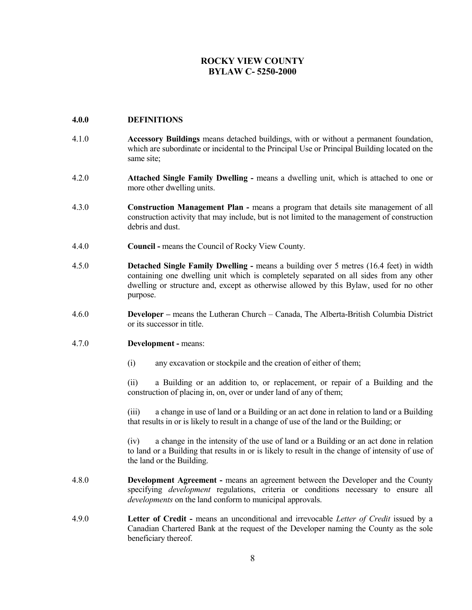### **4.0.0 DEFINITIONS**

- 4.1.0 **Accessory Buildings** means detached buildings, with or without a permanent foundation, which are subordinate or incidental to the Principal Use or Principal Building located on the same site;
- 4.2.0 **Attached Single Family Dwelling -** means a dwelling unit, which is attached to one or more other dwelling units.
- 4.3.0 **Construction Management Plan -** means a program that details site management of all construction activity that may include, but is not limited to the management of construction debris and dust.
- 4.4.0 **Council -** means the Council of Rocky View County.
- 4.5.0 **Detached Single Family Dwelling -** means a building over 5 metres (16.4 feet) in width containing one dwelling unit which is completely separated on all sides from any other dwelling or structure and, except as otherwise allowed by this Bylaw, used for no other purpose.
- 4.6.0 **Developer –** means the Lutheran Church Canada, The Alberta-British Columbia District or its successor in title.

#### 4.7.0 **Development -** means:

(i) any excavation or stockpile and the creation of either of them;

(ii) a Building or an addition to, or replacement, or repair of a Building and the construction of placing in, on, over or under land of any of them;

(iii) a change in use of land or a Building or an act done in relation to land or a Building that results in or is likely to result in a change of use of the land or the Building; or

(iv) a change in the intensity of the use of land or a Building or an act done in relation to land or a Building that results in or is likely to result in the change of intensity of use of the land or the Building.

- 4.8.0 **Development Agreement -** means an agreement between the Developer and the County specifying *development* regulations, criteria or conditions necessary to ensure all *developments* on the land conform to municipal approvals.
- 4.9.0 **Letter of Credit -** means an unconditional and irrevocable *Letter of Credit* issued by a Canadian Chartered Bank at the request of the Developer naming the County as the sole beneficiary thereof.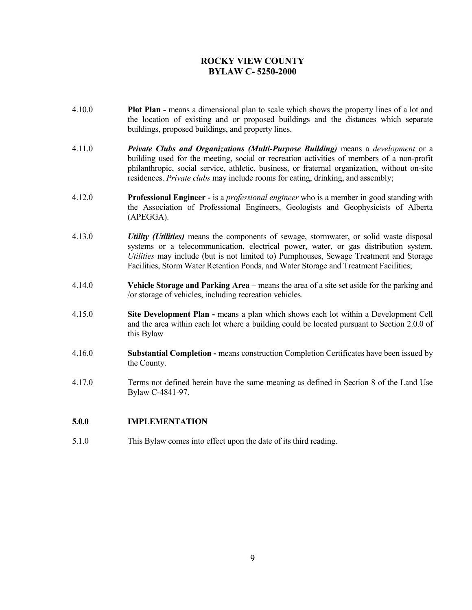- 4.10.0 **Plot Plan -** means a dimensional plan to scale which shows the property lines of a lot and the location of existing and or proposed buildings and the distances which separate buildings, proposed buildings, and property lines.
- 4.11.0 *Private Clubs and Organizations (Multi-Purpose Building)* means a *development* or a building used for the meeting, social or recreation activities of members of a non-profit philanthropic, social service, athletic, business, or fraternal organization, without on-site residences. *Private clubs* may include rooms for eating, drinking, and assembly;
- 4.12.0 **Professional Engineer -** is a *professional engineer* who is a member in good standing with the Association of Professional Engineers, Geologists and Geophysicists of Alberta (APEGGA).
- 4.13.0 *Utility (Utilities)* means the components of sewage, stormwater, or solid waste disposal systems or a telecommunication, electrical power, water, or gas distribution system. *Utilities* may include (but is not limited to) Pumphouses, Sewage Treatment and Storage Facilities, Storm Water Retention Ponds, and Water Storage and Treatment Facilities;
- 4.14.0 **Vehicle Storage and Parking Area** means the area of a site set aside for the parking and /or storage of vehicles, including recreation vehicles.
- 4.15.0 **Site Development Plan -** means a plan which shows each lot within a Development Cell and the area within each lot where a building could be located pursuant to Section 2.0.0 of this Bylaw
- 4.16.0 **Substantial Completion -** means construction Completion Certificates have been issued by the County.
- 4.17.0 Terms not defined herein have the same meaning as defined in Section 8 of the Land Use Bylaw C-4841-97.

### **5.0.0 IMPLEMENTATION**

5.1.0 This Bylaw comes into effect upon the date of its third reading.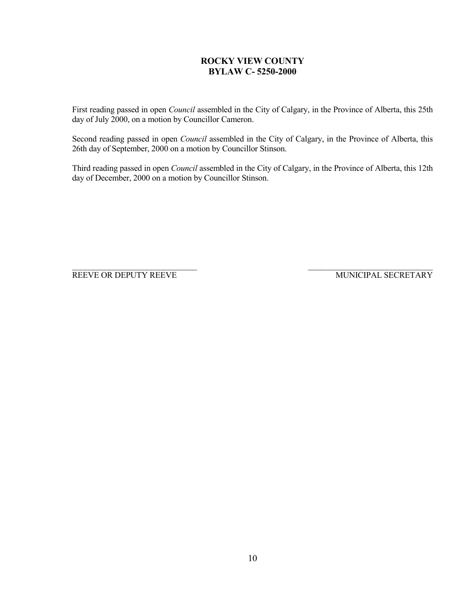First reading passed in open *Council* assembled in the City of Calgary, in the Province of Alberta, this 25th day of July 2000, on a motion by Councillor Cameron.

Second reading passed in open *Council* assembled in the City of Calgary, in the Province of Alberta, this 26th day of September, 2000 on a motion by Councillor Stinson.

Third reading passed in open *Council* assembled in the City of Calgary, in the Province of Alberta, this 12th day of December, 2000 on a motion by Councillor Stinson.

\_\_\_\_\_\_\_\_\_\_\_\_\_\_\_\_\_\_\_\_\_\_\_\_\_\_\_\_\_\_ \_\_\_\_\_\_\_\_\_\_\_\_\_\_\_\_\_\_\_\_\_\_\_\_\_\_\_\_\_\_ REEVE OR DEPUTY REEVE MUNICIPAL SECRETARY